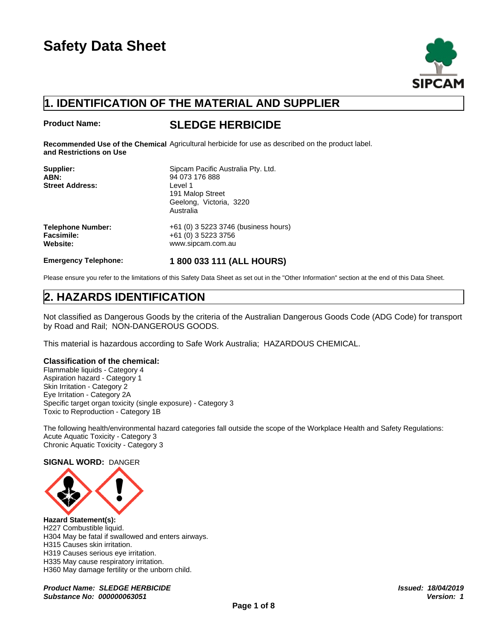

## **1. IDENTIFICATION OF THE MATERIAL AND SUPPLIER**

### **Product Name: SLEDGE HERBICIDE**

Recommended Use of the Chemical Agricultural herbicide for use as described on the product label. **and Restrictions on Use**

| Supplier:                | Sipcam Pacific Australia Pty. Ltd.   |
|--------------------------|--------------------------------------|
| ABN:                     | 94 073 176 888                       |
| <b>Street Address:</b>   | Level 1                              |
|                          | 191 Malop Street                     |
|                          | Geelong, Victoria, 3220              |
|                          | Australia                            |
| <b>Telephone Number:</b> | +61 (0) 3 5223 3746 (business hours) |
| Facsimile:               | +61 (0) 3 5223 3756                  |
| Website:                 | www.sipcam.com.au                    |
|                          |                                      |

**Emergency Telephone: 1 800 033 111 (ALL HOURS)**

Please ensure you refer to the limitations of this Safety Data Sheet as set out in the "Other Information" section at the end of this Data Sheet.

## **2. HAZARDS IDENTIFICATION**

Not classified as Dangerous Goods by the criteria of the Australian Dangerous Goods Code (ADG Code) for transport by Road and Rail; NON-DANGEROUS GOODS.

This material is hazardous according to Safe Work Australia; HAZARDOUS CHEMICAL.

#### **Classification of the chemical:**

Flammable liquids - Category 4 Aspiration hazard - Category 1 Skin Irritation - Category 2 Eye Irritation - Category 2A Specific target organ toxicity (single exposure) - Category 3 Toxic to Reproduction - Category 1B

The following health/environmental hazard categories fall outside the scope of the Workplace Health and Safety Regulations: Acute Aquatic Toxicity - Category 3 Chronic Aquatic Toxicity - Category 3

#### **SIGNAL WORD:** DANGER



**Hazard Statement(s):** H227 Combustible liquid. H304 May be fatal if swallowed and enters airways. H315 Causes skin irritation. H319 Causes serious eye irritation. H335 May cause respiratory irritation. H360 May damage fertility or the unborn child.

*Product Name: SLEDGE HERBICIDE Issued: 18/04/2019 Substance No: 000000063051*

*Version: 1*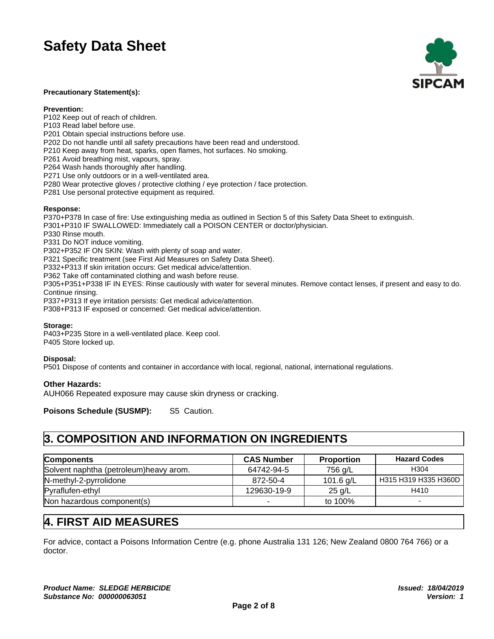

#### **Precautionary Statement(s):**

#### **Prevention:**

P102 Keep out of reach of children.

- P103 Read label before use.
- P201 Obtain special instructions before use.
- P202 Do not handle until all safety precautions have been read and understood.
- P210 Keep away from heat, sparks, open flames, hot surfaces. No smoking.
- P261 Avoid breathing mist, vapours, spray.
- P264 Wash hands thoroughly after handling.
- P271 Use only outdoors or in a well-ventilated area.
- P280 Wear protective gloves / protective clothing / eye protection / face protection.
- P281 Use personal protective equipment as required.

#### **Response:**

P370+P378 In case of fire: Use extinguishing media as outlined in Section 5 of this Safety Data Sheet to extinguish.

P301+P310 IF SWALLOWED: Immediately call a POISON CENTER or doctor/physician.

- P330 Rinse mouth.
- P331 Do NOT induce vomiting.

P302+P352 IF ON SKIN: Wash with plenty of soap and water.

P321 Specific treatment (see First Aid Measures on Safety Data Sheet).

P332+P313 If skin irritation occurs: Get medical advice/attention.

P362 Take off contaminated clothing and wash before reuse.

P305+P351+P338 IF IN EYES: Rinse cautiously with water for several minutes. Remove contact lenses, if present and easy to do. Continue rinsing.

P337+P313 If eye irritation persists: Get medical advice/attention.

P308+P313 IF exposed or concerned: Get medical advice/attention.

#### **Storage:**

P403+P235 Store in a well-ventilated place. Keep cool. P405 Store locked up.

#### **Disposal:**

P501 Dispose of contents and container in accordance with local, regional, national, international regulations.

#### **Other Hazards:**

AUH066 Repeated exposure may cause skin dryness or cracking.

**Poisons Schedule (SUSMP):** S5 Caution.

## **3. COMPOSITION AND INFORMATION ON INGREDIENTS**

| <b>Components</b>                       | <b>CAS Number</b> | <b>Proportion</b> | <b>Hazard Codes</b>  |
|-----------------------------------------|-------------------|-------------------|----------------------|
| Solvent naphtha (petroleum) heavy arom. | 64742-94-5        | 756 g/L           | H <sub>304</sub>     |
| N-methyl-2-pyrrolidone                  | 872-50-4          | 101.6 g/L         | H315 H319 H335 H360D |
| Pyraflufen-ethyl                        | 129630-19-9       | $25$ g/L          | H410                 |
| Non hazardous component(s)              | . .               | to 100%           |                      |

## **4. FIRST AID MEASURES**

For advice, contact a Poisons Information Centre (e.g. phone Australia 131 126; New Zealand 0800 764 766) or a doctor.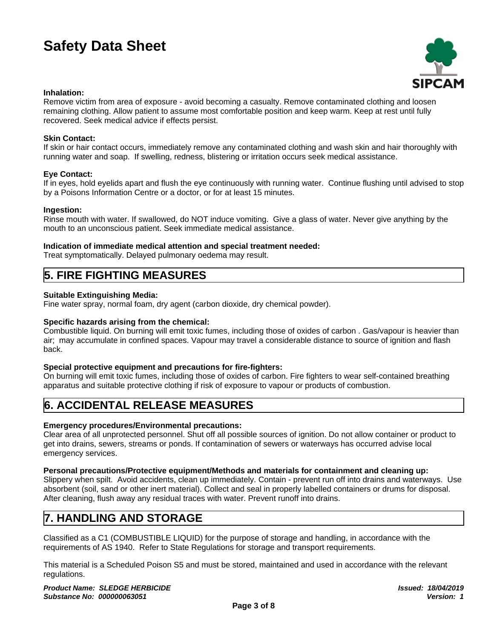

### **Inhalation:**

Remove victim from area of exposure - avoid becoming a casualty. Remove contaminated clothing and loosen remaining clothing. Allow patient to assume most comfortable position and keep warm. Keep at rest until fully recovered. Seek medical advice if effects persist.

#### **Skin Contact:**

If skin or hair contact occurs, immediately remove any contaminated clothing and wash skin and hair thoroughly with running water and soap. If swelling, redness, blistering or irritation occurs seek medical assistance.

#### **Eye Contact:**

If in eyes, hold eyelids apart and flush the eye continuously with running water. Continue flushing until advised to stop by a Poisons Information Centre or a doctor, or for at least 15 minutes.

#### **Ingestion:**

Rinse mouth with water. If swallowed, do NOT induce vomiting. Give a glass of water. Never give anything by the mouth to an unconscious patient. Seek immediate medical assistance.

#### **Indication of immediate medical attention and special treatment needed:**

Treat symptomatically. Delayed pulmonary oedema may result.

### **5. FIRE FIGHTING MEASURES**

#### **Suitable Extinguishing Media:**

Fine water spray, normal foam, dry agent (carbon dioxide, dry chemical powder).

#### **Specific hazards arising from the chemical:**

Combustible liquid. On burning will emit toxic fumes, including those of oxides of carbon . Gas/vapour is heavier than air; may accumulate in confined spaces. Vapour may travel a considerable distance to source of ignition and flash back.

#### **Special protective equipment and precautions for fire-fighters:**

On burning will emit toxic fumes, including those of oxides of carbon. Fire fighters to wear self-contained breathing apparatus and suitable protective clothing if risk of exposure to vapour or products of combustion.

## **6. ACCIDENTAL RELEASE MEASURES**

#### **Emergency procedures/Environmental precautions:**

Clear area of all unprotected personnel. Shut off all possible sources of ignition. Do not allow container or product to get into drains, sewers, streams or ponds. If contamination of sewers or waterways has occurred advise local emergency services.

#### **Personal precautions/Protective equipment/Methods and materials for containment and cleaning up:**

Slippery when spilt. Avoid accidents, clean up immediately. Contain - prevent run off into drains and waterways. Use absorbent (soil, sand or other inert material). Collect and seal in properly labelled containers or drums for disposal. After cleaning, flush away any residual traces with water. Prevent runoff into drains.

## **7. HANDLING AND STORAGE**

Classified as a C1 (COMBUSTIBLE LIQUID) for the purpose of storage and handling, in accordance with the requirements of AS 1940. Refer to State Regulations for storage and transport requirements.

This material is a Scheduled Poison S5 and must be stored, maintained and used in accordance with the relevant regulations.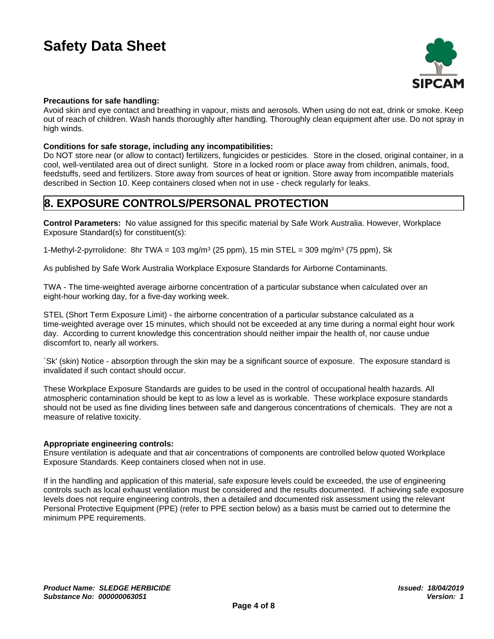

#### **Precautions for safe handling:**

Avoid skin and eye contact and breathing in vapour, mists and aerosols. When using do not eat, drink or smoke. Keep out of reach of children. Wash hands thoroughly after handling. Thoroughly clean equipment after use. Do not spray in high winds.

#### **Conditions for safe storage, including any incompatibilities:**

Do NOT store near (or allow to contact) fertilizers, fungicides or pesticides. Store in the closed, original container, in a cool, well-ventilated area out of direct sunlight. Store in a locked room or place away from children, animals, food, feedstuffs, seed and fertilizers. Store away from sources of heat or ignition. Store away from incompatible materials described in Section 10. Keep containers closed when not in use - check regularly for leaks.

## **8. EXPOSURE CONTROLS/PERSONAL PROTECTION**

**Control Parameters:** No value assigned for this specific material by Safe Work Australia. However, Workplace Exposure Standard(s) for constituent(s):

1-Methyl-2-pyrrolidone: 8hr TWA = 103 mg/m $^3$  (25 ppm), 15 min STEL = 309 mg/m $^3$  (75 ppm), Sk

As published by Safe Work Australia Workplace Exposure Standards for Airborne Contaminants.

TWA - The time-weighted average airborne concentration of a particular substance when calculated over an eight-hour working day, for a five-day working week.

STEL (Short Term Exposure Limit) - the airborne concentration of a particular substance calculated as a time-weighted average over 15 minutes, which should not be exceeded at any time during a normal eight hour work day. According to current knowledge this concentration should neither impair the health of, nor cause undue discomfort to, nearly all workers.

`Sk' (skin) Notice - absorption through the skin may be a significant source of exposure. The exposure standard is invalidated if such contact should occur.

These Workplace Exposure Standards are guides to be used in the control of occupational health hazards. All atmospheric contamination should be kept to as low a level as is workable. These workplace exposure standards should not be used as fine dividing lines between safe and dangerous concentrations of chemicals. They are not a measure of relative toxicity.

#### **Appropriate engineering controls:**

Ensure ventilation is adequate and that air concentrations of components are controlled below quoted Workplace Exposure Standards. Keep containers closed when not in use.

If in the handling and application of this material, safe exposure levels could be exceeded, the use of engineering controls such as local exhaust ventilation must be considered and the results documented. If achieving safe exposure levels does not require engineering controls, then a detailed and documented risk assessment using the relevant Personal Protective Equipment (PPE) (refer to PPE section below) as a basis must be carried out to determine the minimum PPE requirements.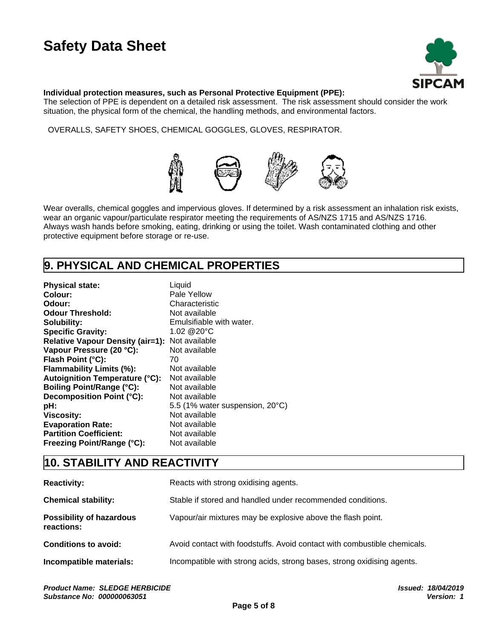

#### **Individual protection measures, such as Personal Protective Equipment (PPE):**

The selection of PPE is dependent on a detailed risk assessment. The risk assessment should consider the work situation, the physical form of the chemical, the handling methods, and environmental factors.

OVERALLS, SAFETY SHOES, CHEMICAL GOGGLES, GLOVES, RESPIRATOR.



Wear overalls, chemical goggles and impervious gloves. If determined by a risk assessment an inhalation risk exists, wear an organic vapour/particulate respirator meeting the requirements of AS/NZS 1715 and AS/NZS 1716. Always wash hands before smoking, eating, drinking or using the toilet. Wash contaminated clothing and other protective equipment before storage or re-use.

## **9. PHYSICAL AND CHEMICAL PROPERTIES**

| <b>Physical state:</b>                         | Liquid                          |
|------------------------------------------------|---------------------------------|
| Colour:                                        | Pale Yellow                     |
| Odour:                                         | Characteristic                  |
| <b>Odour Threshold:</b>                        | Not available                   |
| Solubility:                                    | Emulsifiable with water.        |
| <b>Specific Gravity:</b>                       | $1.02 \ @ 20^{\circ}$ C         |
| Relative Vapour Density (air=1): Not available |                                 |
| Vapour Pressure (20 °C):                       | Not available                   |
| Flash Point (°C):                              | 70                              |
| Flammability Limits (%):                       | Not available                   |
| <b>Autoignition Temperature (°C):</b>          | Not available                   |
| Boiling Point/Range (°C):                      | Not available                   |
| Decomposition Point (°C):                      | Not available                   |
| pH:                                            | 5.5 (1% water suspension, 20°C) |
| <b>Viscosity:</b>                              | Not available                   |
| <b>Evaporation Rate:</b>                       | Not available                   |
| <b>Partition Coefficient:</b>                  | Not available                   |
| Freezing Point/Range (°C):                     | Not available                   |

## **10. STABILITY AND REACTIVITY**

| <b>Reactivity:</b>                            | Reacts with strong oxidising agents.                                     |
|-----------------------------------------------|--------------------------------------------------------------------------|
| <b>Chemical stability:</b>                    | Stable if stored and handled under recommended conditions.               |
| <b>Possibility of hazardous</b><br>reactions: | Vapour/air mixtures may be explosive above the flash point.              |
| <b>Conditions to avoid:</b>                   | Avoid contact with foodstuffs. Avoid contact with combustible chemicals. |
| Incompatible materials:                       | Incompatible with strong acids, strong bases, strong oxidising agents.   |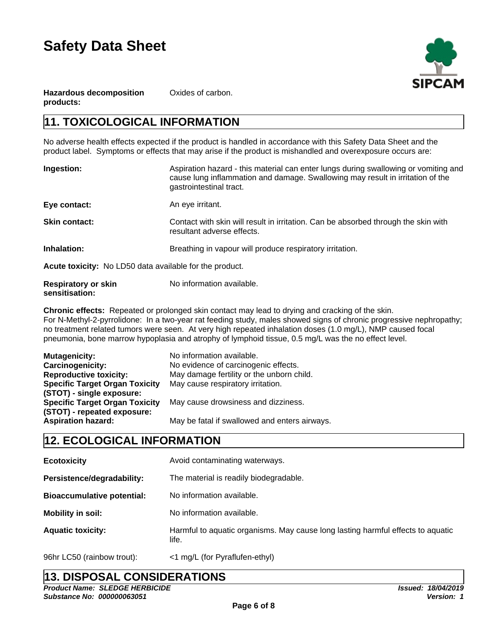

**Hazardous decomposition products:**

Oxides of carbon.

## **11. TOXICOLOGICAL INFORMATION**

No adverse health effects expected if the product is handled in accordance with this Safety Data Sheet and the product label. Symptoms or effects that may arise if the product is mishandled and overexposure occurs are:

| Ingestion:                                              | Aspiration hazard - this material can enter lungs during swallowing or vomiting and<br>cause lung inflammation and damage. Swallowing may result in irritation of the<br>gastrointestinal tract. |
|---------------------------------------------------------|--------------------------------------------------------------------------------------------------------------------------------------------------------------------------------------------------|
| Eye contact:                                            | An eye irritant.                                                                                                                                                                                 |
| <b>Skin contact:</b>                                    | Contact with skin will result in irritation. Can be absorbed through the skin with<br>resultant adverse effects.                                                                                 |
| Inhalation:                                             | Breathing in vapour will produce respiratory irritation.                                                                                                                                         |
| Acute toxicity: No LD50 data available for the product. |                                                                                                                                                                                                  |

| <b>Respiratory or skin</b> | No information available. |
|----------------------------|---------------------------|
| sensitisation:             |                           |

**Chronic effects:** Repeated or prolonged skin contact may lead to drying and cracking of the skin. For N-Methyl-2-pyrrolidone: In a two-year rat feeding study, males showed signs of chronic progressive nephropathy; no treatment related tumors were seen. At very high repeated inhalation doses (1.0 mg/L), NMP caused focal pneumonia, bone marrow hypoplasia and atrophy of lymphoid tissue, 0.5 mg/L was the no effect level.

| No information available.                     |
|-----------------------------------------------|
| No evidence of carcinogenic effects.          |
| May damage fertility or the unborn child.     |
| May cause respiratory irritation.             |
|                                               |
| May cause drowsiness and dizziness.           |
|                                               |
| May be fatal if swallowed and enters airways. |
|                                               |

## **12. ECOLOGICAL INFORMATION**

| <b>Ecotoxicity</b>                | Avoid contaminating waterways.                                                           |
|-----------------------------------|------------------------------------------------------------------------------------------|
| Persistence/degradability:        | The material is readily biodegradable.                                                   |
| <b>Bioaccumulative potential:</b> | No information available.                                                                |
| Mobility in soil:                 | No information available.                                                                |
| <b>Aquatic toxicity:</b>          | Harmful to aquatic organisms. May cause long lasting harmful effects to aquatic<br>life. |
| 96hr LC50 (rainbow trout):        | <1 mg/L (for Pyraflufen-ethyl)                                                           |

## **13. DISPOSAL CONSIDERATIONS**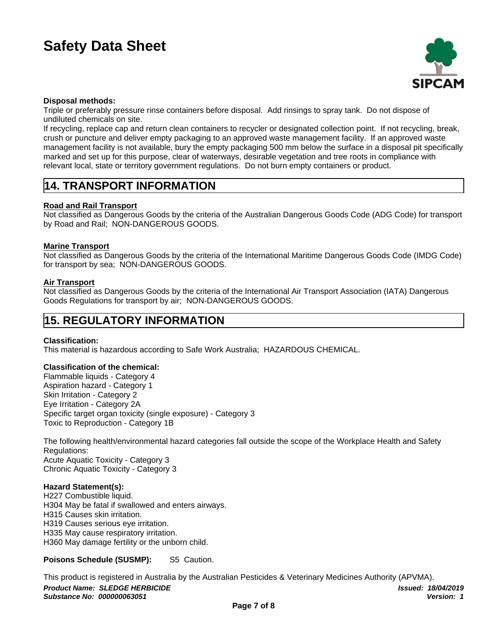

#### **Disposal methods:**

Triple or preferably pressure rinse containers before disposal. Add rinsings to spray tank. Do not dispose of undiluted chemicals on site.

If recycling, replace cap and return clean containers to recycler or designated collection point. If not recycling, break, crush or puncture and deliver empty packaging to an approved waste management facility. If an approved waste management facility is not available, bury the empty packaging 500 mm below the surface in a disposal pit specifically marked and set up for this purpose, clear of waterways, desirable vegetation and tree roots in compliance with relevant local, state or territory government regulations. Do not burn empty containers or product.

## **14. TRANSPORT INFORMATION**

#### **Road and Rail Transport**

Not classified as Dangerous Goods by the criteria of the Australian Dangerous Goods Code (ADG Code) for transport by Road and Rail; NON-DANGEROUS GOODS.

#### **Marine Transport**

Not classified as Dangerous Goods by the criteria of the International Maritime Dangerous Goods Code (IMDG Code) for transport by sea; NON-DANGEROUS GOODS.

#### **Air Transport**

Not classified as Dangerous Goods by the criteria of the International Air Transport Association (IATA) Dangerous Goods Regulations for transport by air; NON-DANGEROUS GOODS.

## **15. REGULATORY INFORMATION**

#### **Classification:**

This material is hazardous according to Safe Work Australia; HAZARDOUS CHEMICAL.

#### **Classification of the chemical:**

Flammable liquids - Category 4 Aspiration hazard - Category 1 Skin Irritation - Category 2 Eye Irritation - Category 2A Specific target organ toxicity (single exposure) - Category 3 Toxic to Reproduction - Category 1B

The following health/environmental hazard categories fall outside the scope of the Workplace Health and Safety Regulations: Acute Aquatic Toxicity - Category 3 Chronic Aquatic Toxicity - Category 3

#### **Hazard Statement(s):**

H227 Combustible liquid. H304 May be fatal if swallowed and enters airways. H315 Causes skin irritation. H319 Causes serious eye irritation. H335 May cause respiratory irritation. H360 May damage fertility or the unborn child.

#### **Poisons Schedule (SUSMP):** S5 Caution.

*Product Name: SLEDGE HERBICIDE Issued: 18/04/2019 Substance No: 000000063051 Version: 1* This product is registered in Australia by the Australian Pesticides & Veterinary Medicines Authority (APVMA).